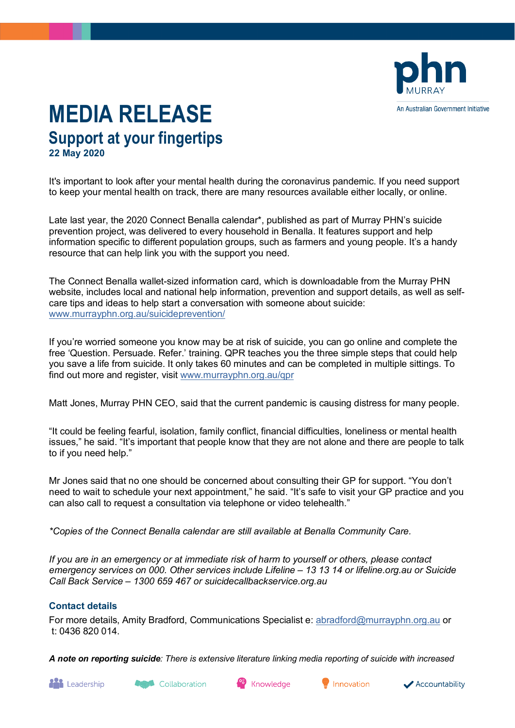

## **MEDIA RELEASE Support at your fingertips 22 May 2020**

It's important to look after your mental health during the coronavirus pandemic. If you need support to keep your mental health on track, there are many resources available either locally, or online.

Late last year, the 2020 Connect Benalla calendar\*, published as part of Murray PHN's suicide prevention project, was delivered to every household in Benalla. It features support and help information specific to different population groups, such as farmers and young people. It's a handy resource that can help link you with the support you need.

The Connect Benalla wallet-sized information card, which is downloadable from the Murray PHN website, includes local and national help information, prevention and support details, as well as selfcare tips and ideas to help start a conversation with someone about suicide: [www.murrayphn.org.au/suicideprevention/](http://www.murrayphn.org.au/suicideprevention/)

If you're worried someone you know may be at risk of suicide, you can go online and complete the free 'Question. Persuade. Refer.' training. QPR teaches you the three simple steps that could help you save a life from suicide. It only takes 60 minutes and can be completed in multiple sittings. To find out more and register, visit [www.murrayphn.org.au/qpr](http://www.murrayphn.org.au/qpr)

Matt Jones, Murray PHN CEO, said that the current pandemic is causing distress for many people.

"It could be feeling fearful, isolation, family conflict, financial difficulties, loneliness or mental health issues," he said. "It's important that people know that they are not alone and there are people to talk to if you need help."

Mr Jones said that no one should be concerned about consulting their GP for support. "You don't need to wait to schedule your next appointment," he said. "It's safe to visit your GP practice and you can also call to request a consultation via telephone or video telehealth."

*\*Copies of the Connect Benalla calendar are still available at Benalla Community Care.*

*If you are in an emergency or at immediate risk of harm to yourself or others, please contact emergency services on 000. Other services include Lifeline – 13 13 14 or lifeline.org.au or Suicide Call Back Service – 1300 659 467 or suicidecallbackservice.org.au*

## **Contact details**

For more details, Amity Bradford, Communications Specialist e: [abradford@murrayphn.org.au](mailto:abradford@murrayphn.org.au) or t: 0436 820 014.

*A note on reporting suicide: There is extensive literature linking media reporting of suicide with increased*